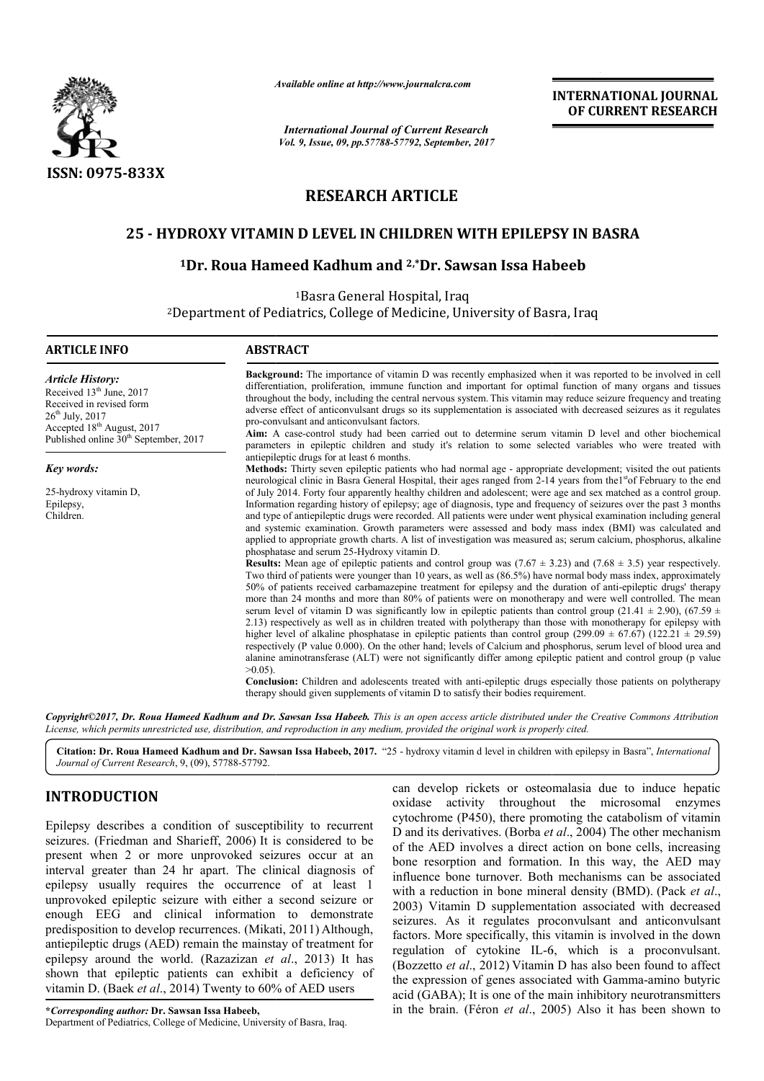

*Available online at http://www.journalcra.com*

*International Journal of Current Research Vol. 9, Issue, 09, pp.57788-57792, September, 2017* **INTERNATIONAL JOURNAL OF CURRENT RESEARCH**

# **RESEARCH ARTICLE**

# **25 - HYDROXY VITAMIN D LEVEL IN CHILDREN WITH EPILEPSY EPILEPSY IN BASRA**

## **1Dr. Roua Hameed Kadhum and 2,\*Dr. Sawsan Issa Habeeb**

1Basra General Hospital, Iraq

2Department of Pediatrics Pediatrics, College of Medicine, University of Basra Basra, Iraq

| <b>ARTICLE INFO</b>                                                                                                                                                                                                       | <b>ABSTRACT</b>                                                                                                                                                                                                                                                                                                                                                                                                                                                                                                                                                                                                                                                                                                                                                                                                                                                                                                                                                                                                                                                                                                                                                                                                                                                                                                                                                                      |  |  |  |
|---------------------------------------------------------------------------------------------------------------------------------------------------------------------------------------------------------------------------|--------------------------------------------------------------------------------------------------------------------------------------------------------------------------------------------------------------------------------------------------------------------------------------------------------------------------------------------------------------------------------------------------------------------------------------------------------------------------------------------------------------------------------------------------------------------------------------------------------------------------------------------------------------------------------------------------------------------------------------------------------------------------------------------------------------------------------------------------------------------------------------------------------------------------------------------------------------------------------------------------------------------------------------------------------------------------------------------------------------------------------------------------------------------------------------------------------------------------------------------------------------------------------------------------------------------------------------------------------------------------------------|--|--|--|
| <b>Article History:</b><br>Received 13 <sup>th</sup> June, 2017<br>Received in revised form<br>$26^{\text{th}}$ July, 2017<br>Accepted 18 <sup>th</sup> August, 2017<br>Published online 30 <sup>th</sup> September, 2017 | <b>Background:</b> The importance of vitamin D was recently emphasized when it was reported to be involved in cell<br>differentiation, proliferation, immune function and important for optimal function of many organs and tissues<br>throughout the body, including the central nervous system. This vitamin may reduce seizure frequency and treating<br>adverse effect of anticonvulsant drugs so its supplementation is associated with decreased seizures as it regulates<br>pro-convulsant and anticonvulsant factors.<br>Aim: A case-control study had been carried out to determine serum vitamin D level and other biochemical<br>parameters in epileptic children and study it's relation to some selected variables who were treated with                                                                                                                                                                                                                                                                                                                                                                                                                                                                                                                                                                                                                                |  |  |  |
| Key words:                                                                                                                                                                                                                | antiepileptic drugs for at least 6 months.                                                                                                                                                                                                                                                                                                                                                                                                                                                                                                                                                                                                                                                                                                                                                                                                                                                                                                                                                                                                                                                                                                                                                                                                                                                                                                                                           |  |  |  |
|                                                                                                                                                                                                                           | Methods: Thirty seven epileptic patients who had normal age - appropriate development; visited the out patients<br>neurological clinic in Basra General Hospital, their ages ranged from 2-14 years from the <sup>st</sup> of February to the end                                                                                                                                                                                                                                                                                                                                                                                                                                                                                                                                                                                                                                                                                                                                                                                                                                                                                                                                                                                                                                                                                                                                    |  |  |  |
| 25-hydroxy vitamin D,                                                                                                                                                                                                     | of July 2014. Forty four apparently healthy children and adolescent; were age and sex matched as a control group.                                                                                                                                                                                                                                                                                                                                                                                                                                                                                                                                                                                                                                                                                                                                                                                                                                                                                                                                                                                                                                                                                                                                                                                                                                                                    |  |  |  |
| Epilepsy,                                                                                                                                                                                                                 | Information regarding history of epilepsy; age of diagnosis, type and frequency of seizures over the past 3 months                                                                                                                                                                                                                                                                                                                                                                                                                                                                                                                                                                                                                                                                                                                                                                                                                                                                                                                                                                                                                                                                                                                                                                                                                                                                   |  |  |  |
| Children.                                                                                                                                                                                                                 | and type of antiepileptic drugs were recorded. All patients were under went physical examination including general<br>and systemic examination. Growth parameters were assessed and body mass index (BMI) was calculated and<br>applied to appropriate growth charts. A list of investigation was measured as; serum calcium, phosphorus, alkaline<br>phosphatase and serum 25-Hydroxy vitamin D.<br><b>Results:</b> Mean age of epileptic patients and control group was $(7.67 \pm 3.23)$ and $(7.68 \pm 3.5)$ year respectively.<br>Two third of patients were younger than 10 years, as well as (86.5%) have normal body mass index, approximately<br>50% of patients received carbamazepine treatment for epilepsy and the duration of anti-epileptic drugs' therapy<br>more than 24 months and more than 80% of patients were on monotherapy and were well controlled. The mean<br>serum level of vitamin D was significantly low in epileptic patients than control group (21.41 $\pm$ 2.90), (67.59 $\pm$<br>2.13) respectively as well as in children treated with polytherapy than those with monotherapy for epilepsy with<br>higher level of alkaline phosphatase in epileptic patients than control group $(299.09 \pm 67.67)$ $(122.21 \pm 29.59)$<br>respectively (P value 0.000). On the other hand; levels of Calcium and phosphorus, serum level of blood urea and |  |  |  |
|                                                                                                                                                                                                                           | alanine aminotransferase (ALT) were not significantly differ among epileptic patient and control group (p value<br>$>0.05$ ).<br><b>Conclusion:</b> Children and adolescents treated with anti-epileptic drugs especially those patients on polytherapy<br>therapy should given supplements of vitamin D to satisfy their bodies requirement.                                                                                                                                                                                                                                                                                                                                                                                                                                                                                                                                                                                                                                                                                                                                                                                                                                                                                                                                                                                                                                        |  |  |  |

Copyright©2017, Dr. Roua Hameed Kadhum and Dr. Sawsan Issa Habeeb. This is an open access article distributed under the Creative Commons Attribution License, which permits unrestricted use, distribution, and reproduction in any medium, provided the original work is properly cited.

Citation: Dr. Roua Hameed Kadhum and Dr. Sawsan Issa Habeeb, 2017. "25 - hydroxy vitamin d level in children with epilepsy in Basra", *International Journal of Current Research*, 9, (09), 57788-57792.

# **INTRODUCTION**

Epilepsy describes a condition of susceptibility to recurrent seizures. (Friedman and Sharieff, 2006) It is considered to be present when 2 or more unprovoked seizures occur at an interval greater than 24 hr apart. The clinical diagnosis of epilepsy usually requires the occurrence of at least 1 unprovoked epileptic seizure with either a second seizure or enough EEG and clinical information to demonstrate predisposition to develop recurrences. (Mikati, 2011) Although, antiepileptic drugs (AED) remain the mainstay of treatment for epilepsy around the world. (Razazizan *et al* ., 2013) It has shown that epileptic patients can exhibit a deficiency of vitamin D. (Baek *et al*., 2014) Twenty to 60% of AED users

can develop rickets or osteomalasia due to induce hepatic oxidase activity throughout the microsomal enzymes cytochrome (P450), there promoting the catabolism of vitamin D and its derivatives. (Borba et al., 2004) The other mechanism of the AED involves a direct action on bone cells, increasing bone resorption and formation. In this way, the AED may influence bone turnover. Both mechanisms can be associated with a reduction in bone mineral density (BMD). (Pack *et al*., 2003) Vitamin D supplementation associated with decreased seizures. As it regulates proconvulsant and anticonvulsant factors. More specifically, this vitamin is involved in the down regulation of cytokine IL-6 6, which is a proconvulsant. (Bozzetto *et al*., 2012) Vitamin D has also been found to affect the expression of genes associated with Gamma-amino butyric acid (GABA); It is one of the main inhibitory neurotransmitters in the brain. (Féron *et al.*, 2005) Also it has been shown to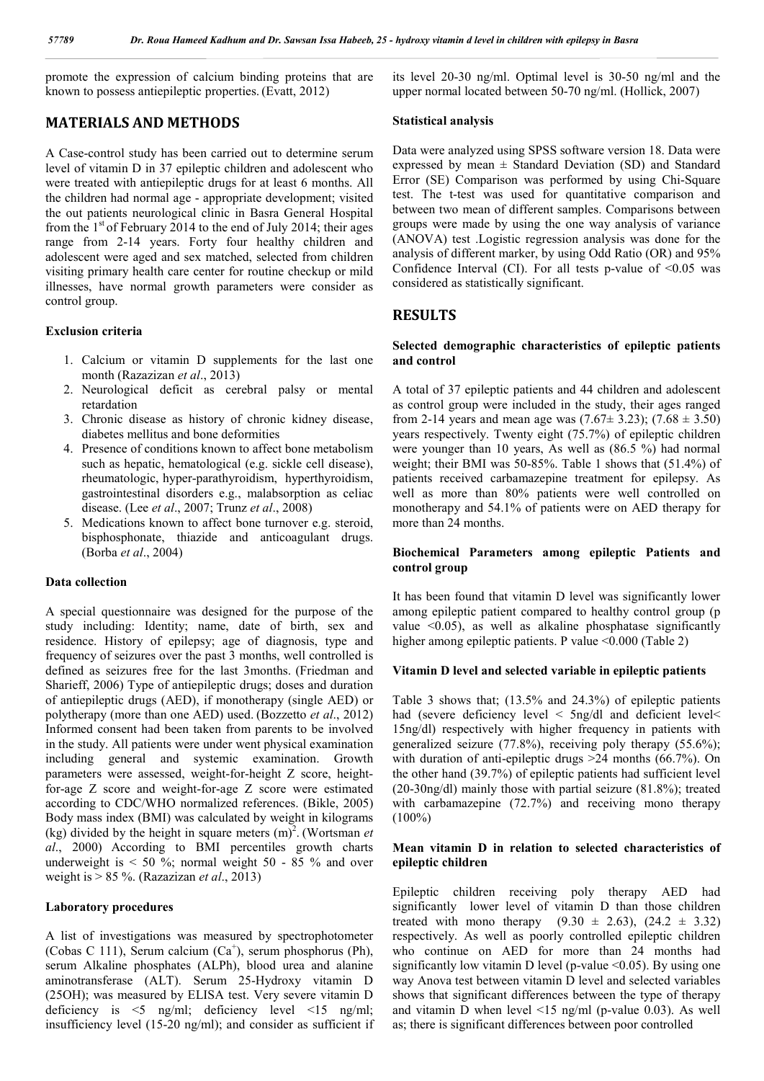promote the expression of calcium binding proteins that are known to possess antiepileptic properties. (Evatt, 2012)

## **MATERIALS AND METHODS**

A Case-control study has been carried out to determine serum level of vitamin D in 37 epileptic children and adolescent who were treated with antiepileptic drugs for at least 6 months. All the children had normal age - appropriate development; visited the out patients neurological clinic in Basra General Hospital from the  $1<sup>st</sup>$  of February 2014 to the end of July 2014; their ages range from 2-14 years. Forty four healthy children and adolescent were aged and sex matched, selected from children visiting primary health care center for routine checkup or mild illnesses, have normal growth parameters were consider as control group.

#### **Exclusion criteria**

- 1. Calcium or vitamin D supplements for the last one month (Razazizan *et al*., 2013)
- 2. Neurological deficit as cerebral palsy or mental retardation
- 3. Chronic disease as history of chronic kidney disease, diabetes mellitus and bone deformities
- 4. Presence of conditions known to affect bone metabolism such as hepatic, hematological (e.g. sickle cell disease), rheumatologic, hyper-parathyroidism, hyperthyroidism, gastrointestinal disorders e.g., malabsorption as celiac disease. (Lee *et al*., 2007; Trunz *et al*., 2008)
- 5. Medications known to affect bone turnover e.g. steroid, bisphosphonate, thiazide and anticoagulant drugs. (Borba *et al*., 2004)

### **Data collection**

A special questionnaire was designed for the purpose of the study including: Identity; name, date of birth, sex and residence. History of epilepsy; age of diagnosis, type and frequency of seizures over the past 3 months, well controlled is defined as seizures free for the last 3months. (Friedman and Sharieff, 2006) Type of antiepileptic drugs; doses and duration of antiepileptic drugs (AED), if monotherapy (single AED) or polytherapy (more than one AED) used. (Bozzetto *et al*., 2012) Informed consent had been taken from parents to be involved in the study. All patients were under went physical examination including general and systemic examination. Growth parameters were assessed, weight-for-height Z score, heightfor-age Z score and weight-for-age Z score were estimated according to CDC/WHO normalized references. (Bikle, 2005) Body mass index (BMI) was calculated by weight in kilograms (kg) divided by the height in square meters  $(m)^2$ . (Wortsman *et al*., 2000) According to BMI percentiles growth charts underweight is  $< 50$ %; normal weight 50 - 85 % and over weight is > 85 %. (Razazizan *et al*., 2013)

#### **Laboratory procedures**

A list of investigations was measured by spectrophotometer (Cobas C 111), Serum calcium (Ca<sup>+</sup>), serum phosphorus (Ph), serum Alkaline phosphates (ALPh), blood urea and alanine aminotransferase (ALT). Serum 25-Hydroxy vitamin D (25OH); was measured by ELISA test. Very severe vitamin D deficiency is <5 ng/ml; deficiency level <15 ng/ml; insufficiency level (15-20 ng/ml); and consider as sufficient if its level 20-30 ng/ml. Optimal level is 30-50 ng/ml and the upper normal located between 50-70 ng/ml. (Hollick, 2007)

#### **Statistical analysis**

Data were analyzed using SPSS software version 18. Data were expressed by mean  $\pm$  Standard Deviation (SD) and Standard Error (SE) Comparison was performed by using Chi-Square test. The t-test was used for quantitative comparison and between two mean of different samples. Comparisons between groups were made by using the one way analysis of variance (ANOVA) test .Logistic regression analysis was done for the analysis of different marker, by using Odd Ratio (OR) and 95% Confidence Interval (CI). For all tests p-value of <0.05 was considered as statistically significant.

## **RESULTS**

#### **Selected demographic characteristics of epileptic patients and control**

A total of 37 epileptic patients and 44 children and adolescent as control group were included in the study, their ages ranged from 2-14 years and mean age was  $(7.67 \pm 3.23)$ ;  $(7.68 \pm 3.50)$ years respectively. Twenty eight (75.7%) of epileptic children were younger than 10 years, As well as (86.5 %) had normal weight; their BMI was 50-85%. Table 1 shows that (51.4%) of patients received carbamazepine treatment for epilepsy. As well as more than 80% patients were well controlled on monotherapy and 54.1% of patients were on AED therapy for more than 24 months.

### **Biochemical Parameters among epileptic Patients and control group**

It has been found that vitamin D level was significantly lower among epileptic patient compared to healthy control group (p value  $\leq 0.05$ ), as well as alkaline phosphatase significantly higher among epileptic patients. P value <0.000 (Table 2)

#### **Vitamin D level and selected variable in epileptic patients**

Table 3 shows that; (13.5% and 24.3%) of epileptic patients had (severe deficiency level < 5ng/dl and deficient level < 15ng/dl) respectively with higher frequency in patients with generalized seizure (77.8%), receiving poly therapy (55.6%); with duration of anti-epileptic drugs >24 months (66.7%). On the other hand (39.7%) of epileptic patients had sufficient level (20-30ng/dl) mainly those with partial seizure (81.8%); treated with carbamazepine (72.7%) and receiving mono therapy  $(100\%)$ 

#### **Mean vitamin D in relation to selected characteristics of epileptic children**

Epileptic children receiving poly therapy AED had significantly lower level of vitamin D than those children treated with mono therapy  $(9.30 \pm 2.63)$ ,  $(24.2 \pm 3.32)$ respectively. As well as poorly controlled epileptic children who continue on AED for more than 24 months had significantly low vitamin D level (p-value  $\leq 0.05$ ). By using one way Anova test between vitamin D level and selected variables shows that significant differences between the type of therapy and vitamin D when level <15 ng/ml (p-value 0.03). As well as; there is significant differences between poor controlled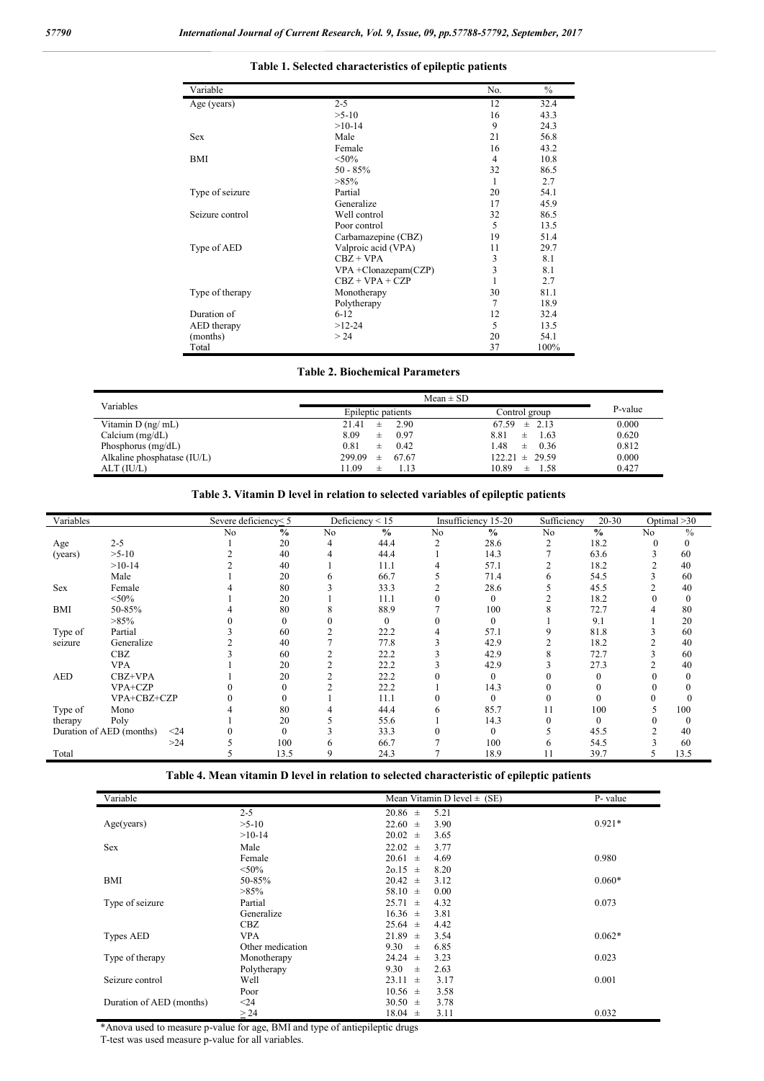#### **Table 1. Selected characteristics of epileptic patients**

| Variable        |                         | No.            | $\%$ |
|-----------------|-------------------------|----------------|------|
| Age (years)     | $2 - 5$                 | 12             | 32.4 |
|                 | $>5-10$                 | 16             | 43.3 |
|                 | $>10-14$                | 9              | 24.3 |
| <b>Sex</b>      | Male                    | 21             | 56.8 |
|                 | Female                  | 16             | 43.2 |
| BMI             | $< 50\%$                | $\overline{4}$ | 10.8 |
|                 | $50 - 85%$              | 32             | 86.5 |
|                 | $>85\%$                 | 1              | 2.7  |
| Type of seizure | Partial                 | 20             | 54.1 |
|                 | Generalize              | 17             | 45.9 |
| Seizure control | Well control            | 32             | 86.5 |
|                 | Poor control            | 5              | 13.5 |
|                 | Carbamazepine (CBZ)     | 19             | 51.4 |
| Type of AED     | Valproic acid (VPA)     | 11             | 29.7 |
|                 | $CBZ + VPA$             | 3              | 8.1  |
|                 | $VPA + Clonazepam(CZP)$ | 3              | 8.1  |
|                 | $CBZ + VPA + CZP$       |                | 2.7  |
| Type of therapy | Monotherapy             | 30             | 81.1 |
|                 | Polytherapy             | $\overline{7}$ | 18.9 |
| Duration of     | $6 - 12$                | 12             | 32.4 |
| AED therapy     | $>12-24$                | 5              | 13.5 |
| (months)        | > 24                    | 20             | 54.1 |
| Total           |                         | 37             | 100% |

|                             | $Mean \pm SD$        |                    |         |
|-----------------------------|----------------------|--------------------|---------|
| Variables                   | Epileptic patients   | Control group      | P-value |
| Vitamin $D$ (ng/ mL)        | 2.90<br>21.41<br>士   | $67.59 \pm 2.13$   | 0.000   |
| Calcium $(mg/dL)$           | 8.09<br>0.97<br>士    | 8.81<br>1.63<br>士  | 0.620   |
| Phosphorus $(mg/dL)$        | 0.81<br>0.42<br>士    | l.48<br>0.36<br>士  | 0.812   |
| Alkaline phosphatase (IU/L) | 299.09<br>67.67<br>士 | $122.21 \pm 29.59$ | 0.000   |
| ALT (IU/L)                  | 11.09<br>1 1 3<br>士  | 10.89<br>1.58<br>土 | 0.427   |

## **Table 3. Vitamin D level in relation to selected variables of epileptic patients**

| Variables  |                                  | Severe deficiency<5 |               |    | Deficiency $\leq 15$ |              | Insufficiency 15-20 | Sufficiency | 20-30         |                | Optimal $>30$ |
|------------|----------------------------------|---------------------|---------------|----|----------------------|--------------|---------------------|-------------|---------------|----------------|---------------|
|            |                                  | N <sub>0</sub>      | $\frac{0}{0}$ | No | $\frac{0}{0}$        | No           | $\frac{0}{0}$       | No          | $\frac{0}{0}$ | N <sub>0</sub> | $\frac{0}{0}$ |
| Age        | $2 - 5$                          |                     | 20            | 4  | 44.4                 | 2            | 28.6                | 2           | 18.2          | 0              | 0             |
| (years)    | $>5-10$                          |                     | 40            | 4  | 44.4                 |              | 14.3                |             | 63.6          |                | 60            |
|            | $>10-14$                         |                     | 40            |    | 11.1                 |              | 57.1                |             | 18.2          |                | 40            |
|            | Male                             |                     | 20            | 6  | 66.7                 |              | 71.4                | 6           | 54.5          |                | 60            |
| Sex        | Female                           |                     | 80            |    | 33.3                 |              | 28.6                |             | 45.5          |                | 40            |
|            | $<$ 50%                          |                     | 20            |    | 11.1                 |              | $\mathbf{0}$        |             | 18.2          |                |               |
| BMI        | 50-85%                           |                     | 80            |    | 88.9                 |              | 100                 |             | 72.7          |                | 80            |
|            | $>85\%$                          |                     | $\mathbf{0}$  |    | $\mathbf{0}$         |              | $\overline{0}$      |             | 9.1           |                | 20            |
| Type of    | Partial                          |                     | 60            |    | 22.2                 |              | 57.1                |             | 81.8          |                | 60            |
| seizure    | Generalize                       |                     | 40            |    | 77.8                 |              | 42.9                |             | 18.2          |                | 40            |
|            | CBZ                              |                     | 60            |    | 22.2                 |              | 42.9                |             | 72.7          |                | 60            |
|            | <b>VPA</b>                       |                     | 20            |    | 22.2                 |              | 42.9                |             | 27.3          |                | 40            |
| <b>AED</b> | CBZ+VPA                          |                     | 20            |    | 22.2                 |              | $\mathbf{0}$        |             | 0             |                |               |
|            | VPA+CZP                          |                     | 0             |    | 22.2                 |              | 14.3                |             | 0             |                |               |
|            | VPA+CBZ+CZP                      |                     |               |    | 11.1                 |              | $\mathbf{0}$        |             |               |                |               |
| Type of    | Mono                             |                     | 80            |    | 44.4                 | <sub>t</sub> | 85.7                | 11          | 100           | 7              | 100           |
| therapy    | Poly                             |                     | 20            |    | 55.6                 |              | 14.3                |             | $\theta$      |                |               |
|            | Duration of AED (months)<br>$24$ |                     | $\theta$      |    | 33.3                 |              | $\overline{0}$      |             | 45.5          |                | 40            |
|            | >24                              |                     | 100           | 6  | 66.7                 |              | 100                 | o           | 54.5          |                | 60            |
| Total      |                                  |                     | 13.5          | 9  | 24.3                 |              | 18.9                | 11          | 39.7          |                | 13.5          |

| Table 4. Mean vitamin D level in relation to selected characteristic of epileptic patients |  |  |  |
|--------------------------------------------------------------------------------------------|--|--|--|
|--------------------------------------------------------------------------------------------|--|--|--|

| Variable                 |                  | Mean Vitamin D level $\pm$ (SE) | P- value |
|--------------------------|------------------|---------------------------------|----------|
|                          | $2 - 5$          | $20.86 \pm$<br>5.21             |          |
| Age(years)               | $>5-10$          | $22.60 \pm$<br>3.90             | $0.921*$ |
|                          | $>10-14$         | $20.02 \pm$<br>3.65             |          |
| <b>Sex</b>               | Male             | $22.02 \pm$<br>3.77             |          |
|                          | Female           | $20.61 \pm$<br>4.69             | 0.980    |
|                          | $<$ 50%          | $20.15 \pm$<br>8.20             |          |
| BMI                      | 50-85%           | $20.42 \pm$<br>3.12             | $0.060*$ |
|                          | $>85\%$          | 58.10 $\pm$<br>0.00             |          |
| Type of seizure          | Partial          | $25.71 \pm$<br>4.32             | 0.073    |
|                          | Generalize       | $16.36 \pm$<br>3.81             |          |
|                          | <b>CBZ</b>       | $25.64 \pm$<br>4.42             |          |
| Types AED                | <b>VPA</b>       | 21.89<br>3.54<br>$\pm$          | $0.062*$ |
|                          | Other medication | 9.30<br>6.85<br>$\pm$           |          |
| Type of therapy          | Monotherapy      | 24.24<br>3.23<br>$\pm$          | 0.023    |
|                          | Polytherapy      | 9.30<br>2.63<br>$\pm$           |          |
| Seizure control          | Well             | $23.11 \pm$<br>3.17             | 0.001    |
|                          | Poor             | $10.56 \pm$<br>3.58             |          |
| Duration of AED (months) | $24$             | $30.50 \pm$<br>3.78             |          |
|                          | > 24             | $18.04 \pm$<br>3.11             | 0.032    |

\*Anova used to measure p-value for age, BMI and type of antiepileptic drugs

T-test was used measure p-value for all variables.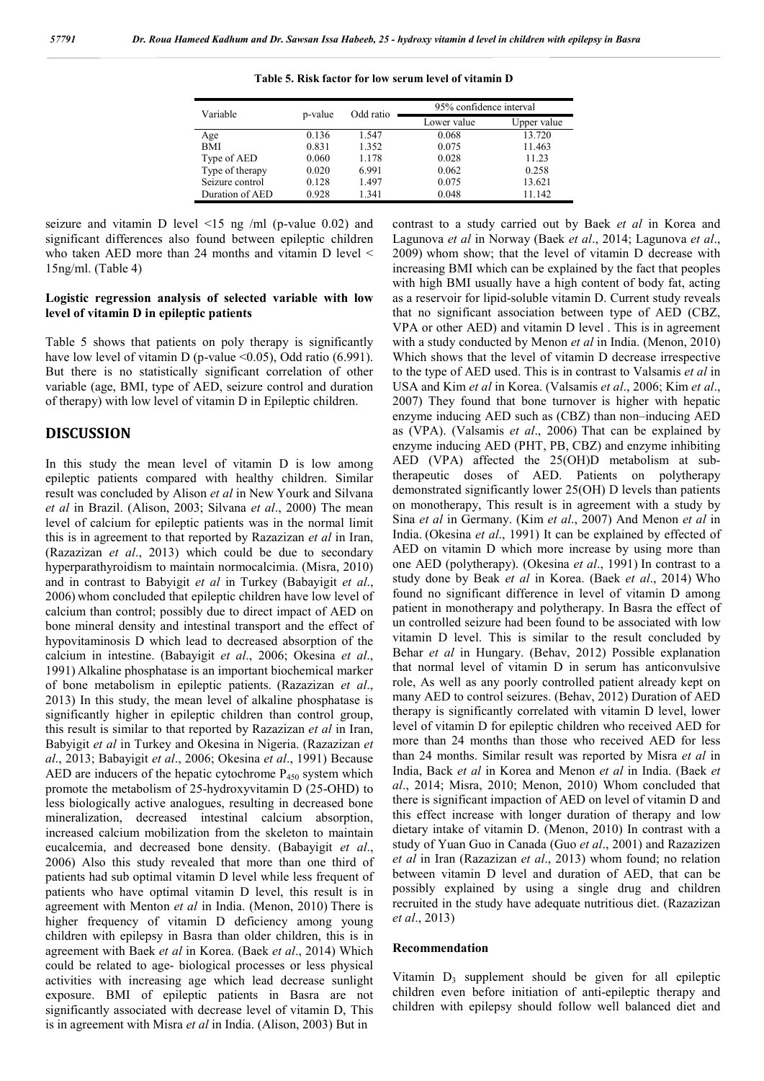| Variable        |         | Odd ratio | 95% confidence interval |             |  |
|-----------------|---------|-----------|-------------------------|-------------|--|
|                 | p-value |           | Lower value             | Upper value |  |
| Age             | 0.136   | 1.547     | 0.068                   | 13.720      |  |
| BMI             | 0.831   | 1.352     | 0.075                   | 11.463      |  |
| Type of AED     | 0.060   | 1.178     | 0.028                   | 11.23       |  |
| Type of therapy | 0.020   | 6.991     | 0.062                   | 0.258       |  |
| Seizure control | 0.128   | 1.497     | 0.075                   | 13.621      |  |
| Duration of AED | 0.928   | 1.341     | 0.048                   | 11.142      |  |

**Table 5. Risk factor for low serum level of vitamin D**

seizure and vitamin D level <15 ng /ml (p-value 0.02) and significant differences also found between epileptic children who taken AED more than 24 months and vitamin D level < 15ng/ml. (Table 4)

#### **Logistic regression analysis of selected variable with low level of vitamin D in epileptic patients**

Table 5 shows that patients on poly therapy is significantly have low level of vitamin D (p-value <0.05), Odd ratio (6.991). But there is no statistically significant correlation of other variable (age, BMI, type of AED, seizure control and duration of therapy) with low level of vitamin D in Epileptic children.

### **DISCUSSION**

In this study the mean level of vitamin D is low among epileptic patients compared with healthy children. Similar result was concluded by Alison *et al* in New Yourk and Silvana *et al* in Brazil. (Alison, 2003; Silvana *et al*., 2000) The mean level of calcium for epileptic patients was in the normal limit this is in agreement to that reported by Razazizan *et al* in Iran, (Razazizan *et al*., 2013) which could be due to secondary hyperparathyroidism to maintain normocalcimia. (Misra, 2010) and in contrast to Babyigit *et al* in Turkey (Babayigit *et al*., 2006) whom concluded that epileptic children have low level of calcium than control; possibly due to direct impact of AED on bone mineral density and intestinal transport and the effect of hypovitaminosis D which lead to decreased absorption of the calcium in intestine. (Babayigit *et al*., 2006; Okesina *et al*., 1991) Alkaline phosphatase is an important biochemical marker of bone metabolism in epileptic patients. (Razazizan *et al*., 2013) In this study, the mean level of alkaline phosphatase is significantly higher in epileptic children than control group, this result is similar to that reported by Razazizan *et al* in Iran, Babyigit *et al* in Turkey and Okesina in Nigeria. (Razazizan *et al*., 2013; Babayigit *et al*., 2006; Okesina *et al*., 1991) Because AED are inducers of the hepatic cytochrome  $P_{450}$  system which promote the metabolism of 25-hydroxyvitamin D (25-OHD) to less biologically active analogues, resulting in decreased bone mineralization, decreased intestinal calcium absorption, increased calcium mobilization from the skeleton to maintain eucalcemia, and decreased bone density. (Babayigit *et al*., 2006) Also this study revealed that more than one third of patients had sub optimal vitamin D level while less frequent of patients who have optimal vitamin D level, this result is in agreement with Menton *et al* in India. (Menon, 2010) There is higher frequency of vitamin D deficiency among young children with epilepsy in Basra than older children, this is in agreement with Baek *et al* in Korea. (Baek *et al*., 2014) Which could be related to age- biological processes or less physical activities with increasing age which lead decrease sunlight exposure. BMI of epileptic patients in Basra are not significantly associated with decrease level of vitamin D, This is in agreement with Misra *et al* in India. (Alison, 2003) But in

contrast to a study carried out by Baek *et al* in Korea and Lagunova *et al* in Norway (Baek *et al*., 2014; Lagunova *et al*., 2009) whom show; that the level of vitamin D decrease with increasing BMI which can be explained by the fact that peoples with high BMI usually have a high content of body fat, acting as a reservoir for lipid-soluble vitamin D. Current study reveals that no significant association between type of AED (CBZ, VPA or other AED) and vitamin D level . This is in agreement with a study conducted by Menon *et al* in India. (Menon, 2010) Which shows that the level of vitamin D decrease irrespective to the type of AED used. This is in contrast to Valsamis *et al* in USA and Kim *et al* in Korea. (Valsamis *et al*., 2006; Kim *et al*., 2007) They found that bone turnover is higher with hepatic enzyme inducing AED such as (CBZ) than non–inducing AED as (VPA). (Valsamis *et al*., 2006) That can be explained by enzyme inducing AED (PHT, PB, CBZ) and enzyme inhibiting AED (VPA) affected the 25(OH)D metabolism at subtherapeutic doses of AED. Patients on polytherapy demonstrated significantly lower 25(OH) D levels than patients on monotherapy, This result is in agreement with a study by Sina *et al* in Germany. (Kim *et al*., 2007) And Menon *et al* in India. (Okesina *et al*., 1991) It can be explained by effected of AED on vitamin D which more increase by using more than one AED (polytherapy). (Okesina *et al*., 1991) In contrast to a study done by Beak *et al* in Korea. (Baek *et al*., 2014) Who found no significant difference in level of vitamin D among patient in monotherapy and polytherapy. In Basra the effect of un controlled seizure had been found to be associated with low vitamin D level. This is similar to the result concluded by Behar *et al* in Hungary. (Behav, 2012) Possible explanation that normal level of vitamin D in serum has anticonvulsive role, As well as any poorly controlled patient already kept on many AED to control seizures. (Behav, 2012) Duration of AED therapy is significantly correlated with vitamin D level, lower level of vitamin D for epileptic children who received AED for more than 24 months than those who received AED for less than 24 months. Similar result was reported by Misra *et al* in India, Back *et al* in Korea and Menon *et al* in India. (Baek *et al*., 2014; Misra, 2010; Menon, 2010) Whom concluded that there is significant impaction of AED on level of vitamin D and this effect increase with longer duration of therapy and low dietary intake of vitamin D. (Menon, 2010) In contrast with a study of Yuan Guo in Canada (Guo *et al*., 2001) and Razazizen *et al* in Iran (Razazizan *et al*., 2013) whom found; no relation between vitamin D level and duration of AED, that can be possibly explained by using a single drug and children recruited in the study have adequate nutritious diet. (Razazizan *et al*., 2013)

#### **Recommendation**

Vitamin  $D_3$  supplement should be given for all epileptic children even before initiation of anti-epileptic therapy and children with epilepsy should follow well balanced diet and